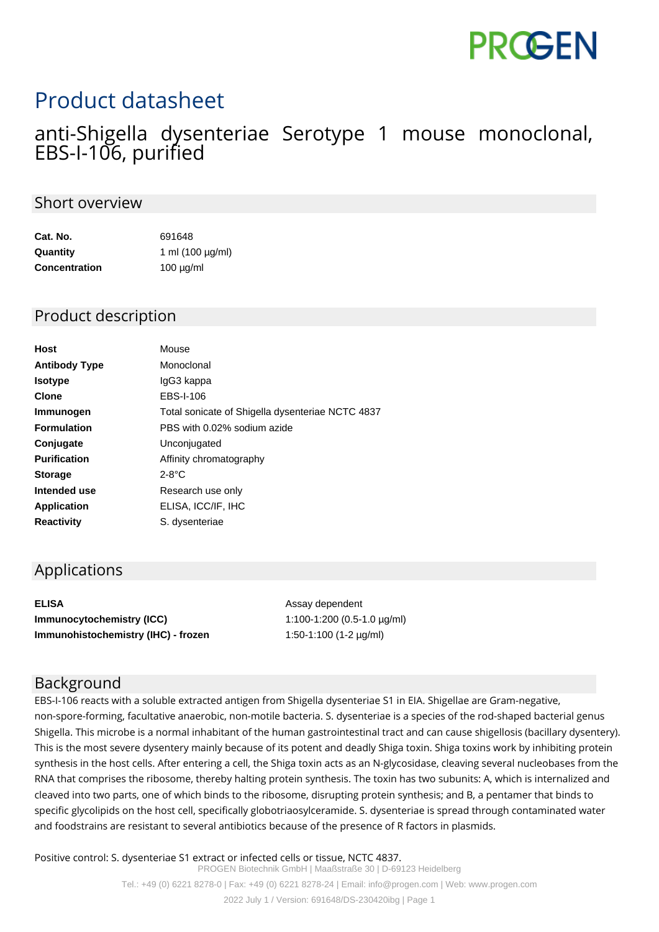# **PROGEN**

# Product datasheet

### anti-Shigella dysenteriae Serotype 1 mouse monoclonal, EBS-I-106, purified

#### Short overview

| Cat. No.             | 691648                |
|----------------------|-----------------------|
| Quantity             | 1 ml $(100 \mu g/ml)$ |
| <b>Concentration</b> | $100 \mu g/ml$        |

#### Product description

| Mouse                                            |
|--------------------------------------------------|
| Monoclonal                                       |
| lgG3 kappa                                       |
| EBS-I-106                                        |
| Total sonicate of Shigella dysenteriae NCTC 4837 |
| PBS with 0.02% sodium azide                      |
| Unconjugated                                     |
| Affinity chromatography                          |
| $2-8$ °C                                         |
| Research use only                                |
| ELISA, ICC/IF, IHC                               |
| S. dysenteriae                                   |
|                                                  |

#### Applications

| <b>ELISA</b>                        |
|-------------------------------------|
| <b>Immunocytochemistry (ICC)</b>    |
| Immunohistochemistry (IHC) - frozen |

**ELISA** Assay dependent **Immunocytochemistry (ICC)** 1:100-1:200 (0.5-1.0 µg/ml) 1:50-1:100 (1-2 µg/ml)

#### Background

EBS-I-106 reacts with a soluble extracted antigen from Shigella dysenteriae S1 in EIA. Shigellae are Gram-negative, non-spore-forming, facultative anaerobic, non-motile bacteria. S. dysenteriae is a species of the rod-shaped bacterial genus Shigella. This microbe is a normal inhabitant of the human gastrointestinal tract and can cause shigellosis (bacillary dysentery). This is the most severe dysentery mainly because of its potent and deadly Shiga toxin. Shiga toxins work by inhibiting protein synthesis in the host cells. After entering a cell, the Shiga toxin acts as an N-glycosidase, cleaving several nucleobases from the RNA that comprises the ribosome, thereby halting protein synthesis. The toxin has two subunits: A, which is internalized and cleaved into two parts, one of which binds to the ribosome, disrupting protein synthesis; and B, a pentamer that binds to specific glycolipids on the host cell, specifically globotriaosylceramide. S. dysenteriae is spread through contaminated water and foodstrains are resistant to several antibiotics because of the presence of R factors in plasmids.

Positive control: S. dysenteriae S1 extract or infected cells or tissue, NCTC 4837. PROGEN Biotechnik GmbH | Maaßstraße 30 | D-69123 Heidelberg Tel.: +49 (0) 6221 8278-0 | Fax: +49 (0) 6221 8278-24 | Email: info@progen.com | Web: www.progen.com 2022 July 1 / Version: 691648/DS-230420ibg | Page 1